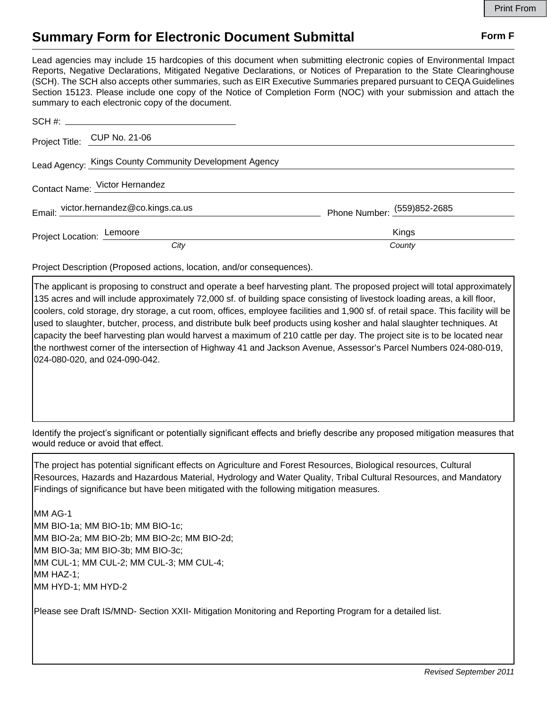## **Summary Form for Electronic Document Submittal Form F Form F**

Lead agencies may include 15 hardcopies of this document when submitting electronic copies of Environmental Impact Reports, Negative Declarations, Mitigated Negative Declarations, or Notices of Preparation to the State Clearinghouse (SCH). The SCH also accepts other summaries, such as EIR Executive Summaries prepared pursuant to CEQA Guidelines Section 15123. Please include one copy of the Notice of Completion Form (NOC) with your submission and attach the summary to each electronic copy of the document.

|                                | Project Title: CUP No. 21-06                           |                             |
|--------------------------------|--------------------------------------------------------|-----------------------------|
|                                | Lead Agency: Kings County Community Development Agency |                             |
| Contact Name: Victor Hernandez |                                                        |                             |
|                                | Email: victor.hernandez@co.kings.ca.us                 | Phone Number: (559)852-2685 |
|                                | Project Location: Lemoore                              | Kings                       |
|                                | City                                                   | County                      |

Project Description (Proposed actions, location, and/or consequences).

The applicant is proposing to construct and operate a beef harvesting plant. The proposed project will total approximately 135 acres and will include approximately 72,000 sf. of building space consisting of livestock loading areas, a kill floor, coolers, cold storage, dry storage, a cut room, offices, employee facilities and 1,900 sf. of retail space. This facility will be used to slaughter, butcher, process, and distribute bulk beef products using kosher and halal slaughter techniques. At capacity the beef harvesting plan would harvest a maximum of 210 cattle per day. The project site is to be located near the northwest corner of the intersection of Highway 41 and Jackson Avenue, Assessor's Parcel Numbers 024-080-019, 024-080-020, and 024-090-042.

Identify the project's significant or potentially significant effects and briefly describe any proposed mitigation measures that would reduce or avoid that effect.

The project has potential significant effects on Agriculture and Forest Resources, Biological resources, Cultural Resources, Hazards and Hazardous Material, Hydrology and Water Quality, Tribal Cultural Resources, and Mandatory Findings of significance but have been mitigated with the following mitigation measures.

MM AG-1 MM BIO-1a; MM BIO-1b; MM BIO-1c; MM BIO-2a; MM BIO-2b; MM BIO-2c; MM BIO-2d; MM BIO-3a; MM BIO-3b; MM BIO-3c; MM CUL-1; MM CUL-2; MM CUL-3; MM CUL-4; MM HAZ-1; MM HYD-1; MM HYD-2

Please see Draft IS/MND- Section XXII- Mitigation Monitoring and Reporting Program for a detailed list.